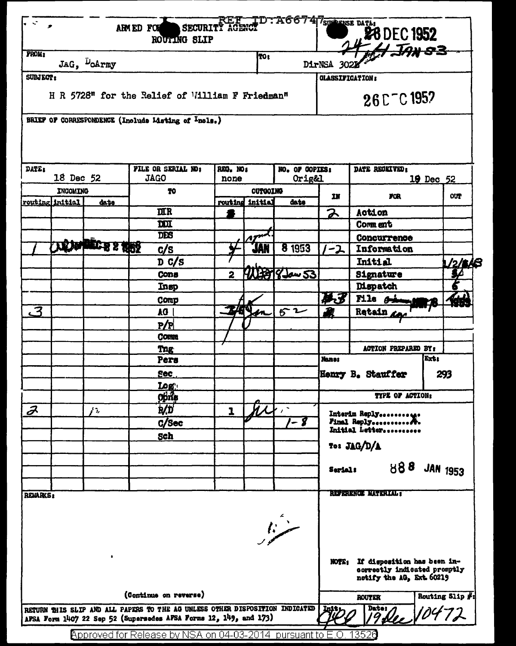| TO:<br>JAG, DoArmy<br>DirNSA 3022<br><b>CLASSIFICATION:</b><br>H R 5728" for the Relief of William F Friedman"<br>26 C T C 1957<br>BRIEF OF CORRESPONDENCE (Include Listing of Incls.)<br>FILE OR SERIAL NO!<br>NO. OF COPIES:<br>REG. NOS<br>DATE RECEIVED:<br>18 Dec 52<br><b>JAGO</b><br>Orig&l<br>19 Dec 52<br>none<br>OUTGOING<br><b>INCOMING</b><br>70<br><b>FOR</b><br><b>OUT</b><br>IN<br>routing initial<br>initial<br>date<br>routing<br>date<br><b>ULR</b><br>2<br>Action<br>DOI<br>Comment<br>DES<br>Concurrence<br><b>TEXAPLECTS 2 1989</b><br>8 1953<br>JAN<br>c/s<br>Information<br>ーユ<br>D C/S<br><b>Initial</b><br><u> 12/8</u> 18<br><b>THE PT 8 Jan 53</b><br><u>s/</u><br>Signature<br>$\overline{2}$<br>Cons<br><b>Dispatch</b><br>Insp<br>英子<br>File si<br>Comp<br>to<br>3<br>62<br>Retain a<br>AG.<br>P/P<br><b>Comm</b><br>ACTION PREPARED BY:<br><b>Tng</b><br>Ext:<br><b>Names</b><br>Pers<br>Sec<br>Henry B. Stauffer<br>293<br><u>Logʻ</u><br>Opne<br>TYPE OF ACTION:<br>$\boldsymbol{\mathcal{Z}}$<br>b/D<br>$\mathcal{L}$<br>1<br>Interim Reply<br>1 - <b>8</b><br>$C/$ Sec<br>Final Reply<br>Initial Letter<br>Sch<br>To: JAG/D/A<br>888 JAN 1953<br>Serial:<br><b>REPERENCE MATERIAL:</b><br><b>REMARKS:</b><br>سنند<br>If disposition has been in-<br>NOTE1<br>correctly indicated promptly<br>notify the AG, Ext. 60219<br>(Continue on reverse)<br>Routing Slip #:<br><b>ROUTER</b><br>RETURN THIS SLIP AND ALL PAPERS TO THE AG UNLESS OTHER DISPOSITION INDICATED<br>Dato: 0472<br>  Init:<br>AFSA Form 1407 22 Sep 52 (Supersedes AFSA Forms 12, 149, and 173) | $\mathbf{v} \in \mathbb{R}^{n \times n}$ |  |  | ARMED FOR<br>ROUTING SLIP | SECURITY AGENCY |  | TD: A66747surerse data: |  | 28 DEC 1952 |  |  |  |
|------------------------------------------------------------------------------------------------------------------------------------------------------------------------------------------------------------------------------------------------------------------------------------------------------------------------------------------------------------------------------------------------------------------------------------------------------------------------------------------------------------------------------------------------------------------------------------------------------------------------------------------------------------------------------------------------------------------------------------------------------------------------------------------------------------------------------------------------------------------------------------------------------------------------------------------------------------------------------------------------------------------------------------------------------------------------------------------------------------------------------------------------------------------------------------------------------------------------------------------------------------------------------------------------------------------------------------------------------------------------------------------------------------------------------------------------------------------------------------------------------------------------------------------------------------------------------------------------------|------------------------------------------|--|--|---------------------------|-----------------|--|-------------------------|--|-------------|--|--|--|
|                                                                                                                                                                                                                                                                                                                                                                                                                                                                                                                                                                                                                                                                                                                                                                                                                                                                                                                                                                                                                                                                                                                                                                                                                                                                                                                                                                                                                                                                                                                                                                                                      | <b>FROM2</b>                             |  |  |                           |                 |  |                         |  |             |  |  |  |
|                                                                                                                                                                                                                                                                                                                                                                                                                                                                                                                                                                                                                                                                                                                                                                                                                                                                                                                                                                                                                                                                                                                                                                                                                                                                                                                                                                                                                                                                                                                                                                                                      | <b>SUBJECT:</b>                          |  |  |                           |                 |  |                         |  |             |  |  |  |
|                                                                                                                                                                                                                                                                                                                                                                                                                                                                                                                                                                                                                                                                                                                                                                                                                                                                                                                                                                                                                                                                                                                                                                                                                                                                                                                                                                                                                                                                                                                                                                                                      |                                          |  |  |                           |                 |  |                         |  |             |  |  |  |
|                                                                                                                                                                                                                                                                                                                                                                                                                                                                                                                                                                                                                                                                                                                                                                                                                                                                                                                                                                                                                                                                                                                                                                                                                                                                                                                                                                                                                                                                                                                                                                                                      |                                          |  |  |                           |                 |  |                         |  |             |  |  |  |
|                                                                                                                                                                                                                                                                                                                                                                                                                                                                                                                                                                                                                                                                                                                                                                                                                                                                                                                                                                                                                                                                                                                                                                                                                                                                                                                                                                                                                                                                                                                                                                                                      | <b>DATE:</b>                             |  |  |                           |                 |  |                         |  |             |  |  |  |
|                                                                                                                                                                                                                                                                                                                                                                                                                                                                                                                                                                                                                                                                                                                                                                                                                                                                                                                                                                                                                                                                                                                                                                                                                                                                                                                                                                                                                                                                                                                                                                                                      |                                          |  |  |                           |                 |  |                         |  |             |  |  |  |
|                                                                                                                                                                                                                                                                                                                                                                                                                                                                                                                                                                                                                                                                                                                                                                                                                                                                                                                                                                                                                                                                                                                                                                                                                                                                                                                                                                                                                                                                                                                                                                                                      |                                          |  |  |                           |                 |  |                         |  |             |  |  |  |
|                                                                                                                                                                                                                                                                                                                                                                                                                                                                                                                                                                                                                                                                                                                                                                                                                                                                                                                                                                                                                                                                                                                                                                                                                                                                                                                                                                                                                                                                                                                                                                                                      |                                          |  |  |                           |                 |  |                         |  |             |  |  |  |
|                                                                                                                                                                                                                                                                                                                                                                                                                                                                                                                                                                                                                                                                                                                                                                                                                                                                                                                                                                                                                                                                                                                                                                                                                                                                                                                                                                                                                                                                                                                                                                                                      |                                          |  |  |                           |                 |  |                         |  |             |  |  |  |
|                                                                                                                                                                                                                                                                                                                                                                                                                                                                                                                                                                                                                                                                                                                                                                                                                                                                                                                                                                                                                                                                                                                                                                                                                                                                                                                                                                                                                                                                                                                                                                                                      |                                          |  |  |                           |                 |  |                         |  |             |  |  |  |
|                                                                                                                                                                                                                                                                                                                                                                                                                                                                                                                                                                                                                                                                                                                                                                                                                                                                                                                                                                                                                                                                                                                                                                                                                                                                                                                                                                                                                                                                                                                                                                                                      |                                          |  |  |                           |                 |  |                         |  |             |  |  |  |
|                                                                                                                                                                                                                                                                                                                                                                                                                                                                                                                                                                                                                                                                                                                                                                                                                                                                                                                                                                                                                                                                                                                                                                                                                                                                                                                                                                                                                                                                                                                                                                                                      |                                          |  |  |                           |                 |  |                         |  |             |  |  |  |
|                                                                                                                                                                                                                                                                                                                                                                                                                                                                                                                                                                                                                                                                                                                                                                                                                                                                                                                                                                                                                                                                                                                                                                                                                                                                                                                                                                                                                                                                                                                                                                                                      |                                          |  |  |                           |                 |  |                         |  |             |  |  |  |
|                                                                                                                                                                                                                                                                                                                                                                                                                                                                                                                                                                                                                                                                                                                                                                                                                                                                                                                                                                                                                                                                                                                                                                                                                                                                                                                                                                                                                                                                                                                                                                                                      |                                          |  |  |                           |                 |  |                         |  |             |  |  |  |
|                                                                                                                                                                                                                                                                                                                                                                                                                                                                                                                                                                                                                                                                                                                                                                                                                                                                                                                                                                                                                                                                                                                                                                                                                                                                                                                                                                                                                                                                                                                                                                                                      |                                          |  |  |                           |                 |  |                         |  |             |  |  |  |
|                                                                                                                                                                                                                                                                                                                                                                                                                                                                                                                                                                                                                                                                                                                                                                                                                                                                                                                                                                                                                                                                                                                                                                                                                                                                                                                                                                                                                                                                                                                                                                                                      |                                          |  |  |                           |                 |  |                         |  |             |  |  |  |
|                                                                                                                                                                                                                                                                                                                                                                                                                                                                                                                                                                                                                                                                                                                                                                                                                                                                                                                                                                                                                                                                                                                                                                                                                                                                                                                                                                                                                                                                                                                                                                                                      |                                          |  |  |                           |                 |  |                         |  |             |  |  |  |
|                                                                                                                                                                                                                                                                                                                                                                                                                                                                                                                                                                                                                                                                                                                                                                                                                                                                                                                                                                                                                                                                                                                                                                                                                                                                                                                                                                                                                                                                                                                                                                                                      |                                          |  |  |                           |                 |  |                         |  |             |  |  |  |
|                                                                                                                                                                                                                                                                                                                                                                                                                                                                                                                                                                                                                                                                                                                                                                                                                                                                                                                                                                                                                                                                                                                                                                                                                                                                                                                                                                                                                                                                                                                                                                                                      |                                          |  |  |                           |                 |  |                         |  |             |  |  |  |
|                                                                                                                                                                                                                                                                                                                                                                                                                                                                                                                                                                                                                                                                                                                                                                                                                                                                                                                                                                                                                                                                                                                                                                                                                                                                                                                                                                                                                                                                                                                                                                                                      |                                          |  |  |                           |                 |  |                         |  |             |  |  |  |
|                                                                                                                                                                                                                                                                                                                                                                                                                                                                                                                                                                                                                                                                                                                                                                                                                                                                                                                                                                                                                                                                                                                                                                                                                                                                                                                                                                                                                                                                                                                                                                                                      |                                          |  |  |                           |                 |  |                         |  |             |  |  |  |
|                                                                                                                                                                                                                                                                                                                                                                                                                                                                                                                                                                                                                                                                                                                                                                                                                                                                                                                                                                                                                                                                                                                                                                                                                                                                                                                                                                                                                                                                                                                                                                                                      |                                          |  |  |                           |                 |  |                         |  |             |  |  |  |
|                                                                                                                                                                                                                                                                                                                                                                                                                                                                                                                                                                                                                                                                                                                                                                                                                                                                                                                                                                                                                                                                                                                                                                                                                                                                                                                                                                                                                                                                                                                                                                                                      |                                          |  |  |                           |                 |  |                         |  |             |  |  |  |
|                                                                                                                                                                                                                                                                                                                                                                                                                                                                                                                                                                                                                                                                                                                                                                                                                                                                                                                                                                                                                                                                                                                                                                                                                                                                                                                                                                                                                                                                                                                                                                                                      |                                          |  |  |                           |                 |  |                         |  |             |  |  |  |
|                                                                                                                                                                                                                                                                                                                                                                                                                                                                                                                                                                                                                                                                                                                                                                                                                                                                                                                                                                                                                                                                                                                                                                                                                                                                                                                                                                                                                                                                                                                                                                                                      |                                          |  |  |                           |                 |  |                         |  |             |  |  |  |
|                                                                                                                                                                                                                                                                                                                                                                                                                                                                                                                                                                                                                                                                                                                                                                                                                                                                                                                                                                                                                                                                                                                                                                                                                                                                                                                                                                                                                                                                                                                                                                                                      |                                          |  |  |                           |                 |  |                         |  |             |  |  |  |
|                                                                                                                                                                                                                                                                                                                                                                                                                                                                                                                                                                                                                                                                                                                                                                                                                                                                                                                                                                                                                                                                                                                                                                                                                                                                                                                                                                                                                                                                                                                                                                                                      |                                          |  |  |                           |                 |  |                         |  |             |  |  |  |
|                                                                                                                                                                                                                                                                                                                                                                                                                                                                                                                                                                                                                                                                                                                                                                                                                                                                                                                                                                                                                                                                                                                                                                                                                                                                                                                                                                                                                                                                                                                                                                                                      |                                          |  |  |                           |                 |  |                         |  |             |  |  |  |
|                                                                                                                                                                                                                                                                                                                                                                                                                                                                                                                                                                                                                                                                                                                                                                                                                                                                                                                                                                                                                                                                                                                                                                                                                                                                                                                                                                                                                                                                                                                                                                                                      |                                          |  |  |                           |                 |  |                         |  |             |  |  |  |
|                                                                                                                                                                                                                                                                                                                                                                                                                                                                                                                                                                                                                                                                                                                                                                                                                                                                                                                                                                                                                                                                                                                                                                                                                                                                                                                                                                                                                                                                                                                                                                                                      |                                          |  |  |                           |                 |  |                         |  |             |  |  |  |
|                                                                                                                                                                                                                                                                                                                                                                                                                                                                                                                                                                                                                                                                                                                                                                                                                                                                                                                                                                                                                                                                                                                                                                                                                                                                                                                                                                                                                                                                                                                                                                                                      |                                          |  |  |                           |                 |  |                         |  |             |  |  |  |
|                                                                                                                                                                                                                                                                                                                                                                                                                                                                                                                                                                                                                                                                                                                                                                                                                                                                                                                                                                                                                                                                                                                                                                                                                                                                                                                                                                                                                                                                                                                                                                                                      |                                          |  |  |                           |                 |  |                         |  |             |  |  |  |
|                                                                                                                                                                                                                                                                                                                                                                                                                                                                                                                                                                                                                                                                                                                                                                                                                                                                                                                                                                                                                                                                                                                                                                                                                                                                                                                                                                                                                                                                                                                                                                                                      |                                          |  |  |                           |                 |  |                         |  |             |  |  |  |
|                                                                                                                                                                                                                                                                                                                                                                                                                                                                                                                                                                                                                                                                                                                                                                                                                                                                                                                                                                                                                                                                                                                                                                                                                                                                                                                                                                                                                                                                                                                                                                                                      |                                          |  |  |                           |                 |  |                         |  |             |  |  |  |